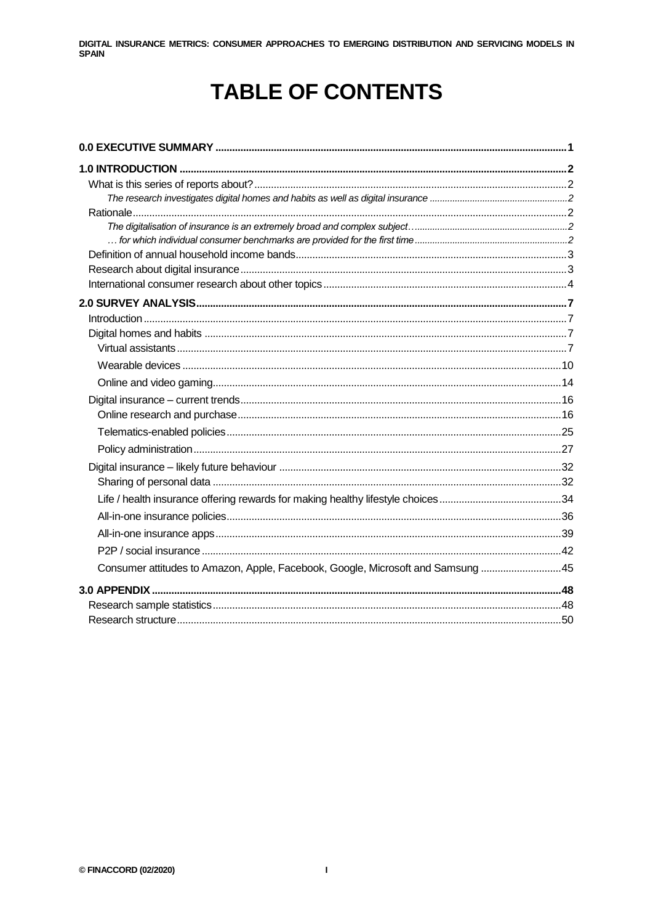## **TABLE OF CONTENTS**

| Consumer attitudes to Amazon, Apple, Facebook, Google, Microsoft and Samsung 45 |  |
|---------------------------------------------------------------------------------|--|
|                                                                                 |  |
|                                                                                 |  |
|                                                                                 |  |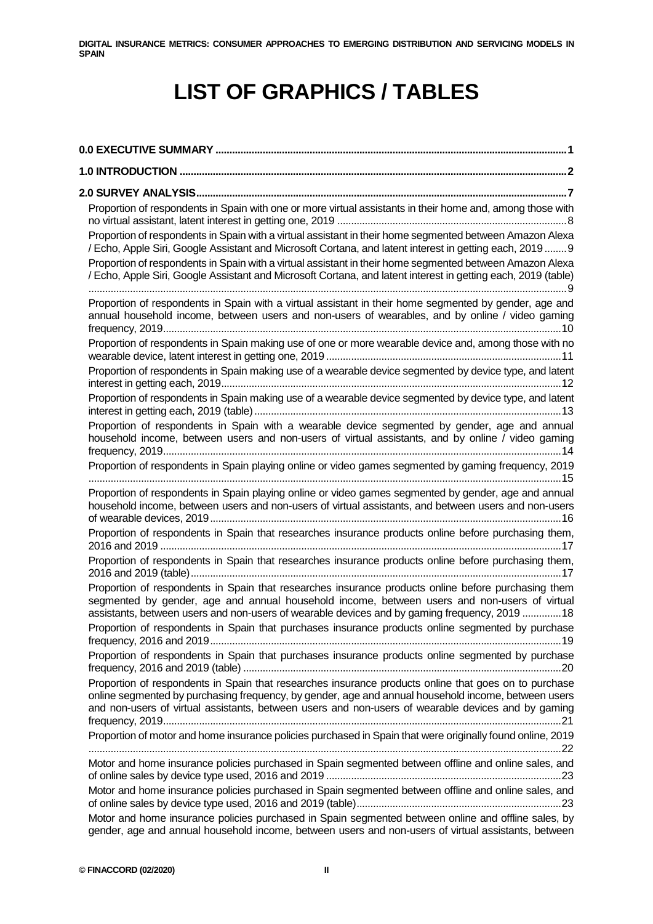## **LIST OF GRAPHICS / TABLES**

| Proportion of respondents in Spain with one or more virtual assistants in their home and, among those with                                                                                                                                                                                                                      |
|---------------------------------------------------------------------------------------------------------------------------------------------------------------------------------------------------------------------------------------------------------------------------------------------------------------------------------|
| Proportion of respondents in Spain with a virtual assistant in their home segmented between Amazon Alexa<br>/ Echo, Apple Siri, Google Assistant and Microsoft Cortana, and latent interest in getting each, 2019 9<br>Proportion of respondents in Spain with a virtual assistant in their home segmented between Amazon Alexa |
| / Echo, Apple Siri, Google Assistant and Microsoft Cortana, and latent interest in getting each, 2019 (table)                                                                                                                                                                                                                   |
| Proportion of respondents in Spain with a virtual assistant in their home segmented by gender, age and<br>annual household income, between users and non-users of wearables, and by online / video gaming                                                                                                                       |
| Proportion of respondents in Spain making use of one or more wearable device and, among those with no                                                                                                                                                                                                                           |
| Proportion of respondents in Spain making use of a wearable device segmented by device type, and latent                                                                                                                                                                                                                         |
| Proportion of respondents in Spain making use of a wearable device segmented by device type, and latent                                                                                                                                                                                                                         |
| Proportion of respondents in Spain with a wearable device segmented by gender, age and annual<br>household income, between users and non-users of virtual assistants, and by online / video gaming                                                                                                                              |
| Proportion of respondents in Spain playing online or video games segmented by gaming frequency, 2019                                                                                                                                                                                                                            |
| Proportion of respondents in Spain playing online or video games segmented by gender, age and annual<br>household income, between users and non-users of virtual assistants, and between users and non-users                                                                                                                    |
| Proportion of respondents in Spain that researches insurance products online before purchasing them,                                                                                                                                                                                                                            |
| Proportion of respondents in Spain that researches insurance products online before purchasing them,                                                                                                                                                                                                                            |
| Proportion of respondents in Spain that researches insurance products online before purchasing them<br>segmented by gender, age and annual household income, between users and non-users of virtual<br>assistants, between users and non-users of wearable devices and by gaming frequency, 2019  18                            |
| Proportion of respondents in Spain that purchases insurance products online segmented by purchase                                                                                                                                                                                                                               |
| Proportion of respondents in Spain that purchases insurance products online segmented by purchase                                                                                                                                                                                                                               |
| Proportion of respondents in Spain that researches insurance products online that goes on to purchase<br>online segmented by purchasing frequency, by gender, age and annual household income, between users<br>and non-users of virtual assistants, between users and non-users of wearable devices and by gaming              |
| Proportion of motor and home insurance policies purchased in Spain that were originally found online, 2019                                                                                                                                                                                                                      |
| Motor and home insurance policies purchased in Spain segmented between offline and online sales, and                                                                                                                                                                                                                            |
| Motor and home insurance policies purchased in Spain segmented between offline and online sales, and                                                                                                                                                                                                                            |
| Motor and home insurance policies purchased in Spain segmented between online and offline sales, by<br>gender, age and annual household income, between users and non-users of virtual assistants, between                                                                                                                      |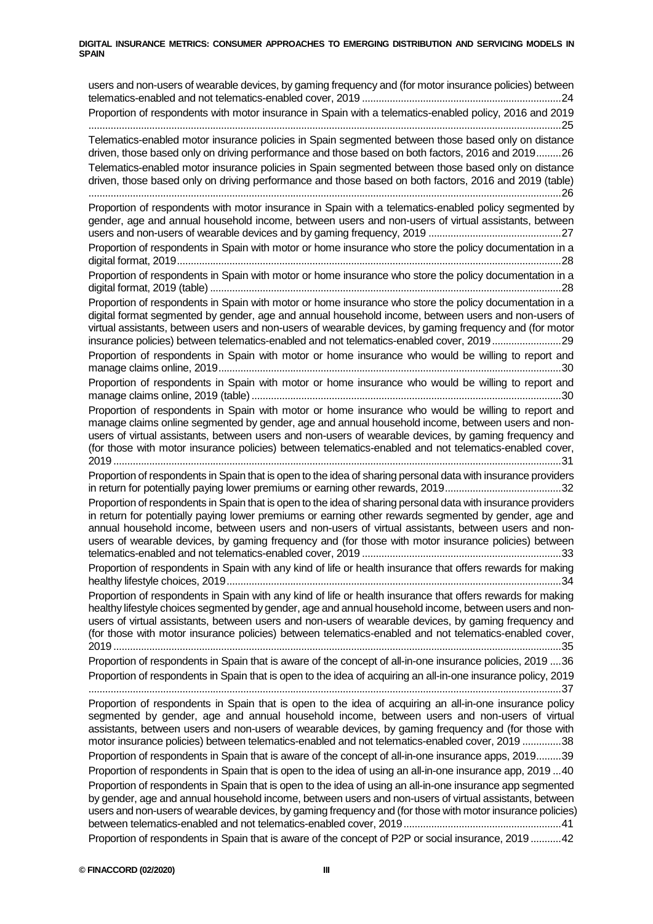users and non-users of wearable devices, by gaming frequency and (for motor insurance policies) between telematics-enabled and not telematics-enabled cover, 2019 ........................................................................24 Proportion of respondents with motor insurance in Spain with a telematics-enabled policy, 2016 and 2019 ...........................................................................................................................................................................25 Telematics-enabled motor insurance policies in Spain segmented between those based only on distance driven, those based only on driving performance and those based on both factors, 2016 and 2019.........26 Telematics-enabled motor insurance policies in Spain segmented between those based only on distance driven, those based only on driving performance and those based on both factors, 2016 and 2019 (table) ...........................................................................................................................................................................26 Proportion of respondents with motor insurance in Spain with a telematics-enabled policy segmented by gender, age and annual household income, between users and non-users of virtual assistants, between users and non-users of wearable devices and by gaming frequency, 2019 ................................................27 Proportion of respondents in Spain with motor or home insurance who store the policy documentation in a digital format, 2019...........................................................................................................................................28 Proportion of respondents in Spain with motor or home insurance who store the policy documentation in a digital format, 2019 (table) ...............................................................................................................................28 Proportion of respondents in Spain with motor or home insurance who store the policy documentation in a digital format segmented by gender, age and annual household income, between users and non-users of virtual assistants, between users and non-users of wearable devices, by gaming frequency and (for motor insurance policies) between telematics-enabled and not telematics-enabled cover, 2019.........................29 Proportion of respondents in Spain with motor or home insurance who would be willing to report and manage claims online, 2019............................................................................................................................30 Proportion of respondents in Spain with motor or home insurance who would be willing to report and manage claims online, 2019 (table)................................................................................................................30 Proportion of respondents in Spain with motor or home insurance who would be willing to report and manage claims online segmented by gender, age and annual household income, between users and nonusers of virtual assistants, between users and non-users of wearable devices, by gaming frequency and (for those with motor insurance policies) between telematics-enabled and not telematics-enabled cover, 2019 ..................................................................................................................................................................31 Proportion of respondents in Spain that is open to the idea of sharing personal data with insurance providers in return for potentially paying lower premiums or earning other rewards, 2019..........................................32 Proportion of respondents in Spain that is open to the idea of sharing personal data with insurance providers in return for potentially paying lower premiums or earning other rewards segmented by gender, age and annual household income, between users and non-users of virtual assistants, between users and nonusers of wearable devices, by gaming frequency and (for those with motor insurance policies) between telematics-enabled and not telematics-enabled cover, 2019 ........................................................................33 Proportion of respondents in Spain with any kind of life or health insurance that offers rewards for making healthy lifestyle choices, 2019.........................................................................................................................34 Proportion of respondents in Spain with any kind of life or health insurance that offers rewards for making healthy lifestyle choices segmented by gender, age and annual household income, between users and nonusers of virtual assistants, between users and non-users of wearable devices, by gaming frequency and (for those with motor insurance policies) between telematics-enabled and not telematics-enabled cover, 2019 ..................................................................................................................................................................35 Proportion of respondents in Spain that is aware of the concept of all-in-one insurance policies, 2019 ....36 Proportion of respondents in Spain that is open to the idea of acquiring an all-in-one insurance policy, 2019 ...........................................................................................................................................................................37 Proportion of respondents in Spain that is open to the idea of acquiring an all-in-one insurance policy segmented by gender, age and annual household income, between users and non-users of virtual assistants, between users and non-users of wearable devices, by gaming frequency and (for those with motor insurance policies) between telematics-enabled and not telematics-enabled cover, 2019 ..............38 Proportion of respondents in Spain that is aware of the concept of all-in-one insurance apps, 2019.........39 Proportion of respondents in Spain that is open to the idea of using an all-in-one insurance app, 2019 ...40 Proportion of respondents in Spain that is open to the idea of using an all-in-one insurance app segmented by gender, age and annual household income, between users and non-users of virtual assistants, between users and non-users of wearable devices, by gaming frequency and (for those with motor insurance policies) between telematics-enabled and not telematics-enabled cover, 2019.........................................................41 Proportion of respondents in Spain that is aware of the concept of P2P or social insurance, 2019 ...........42